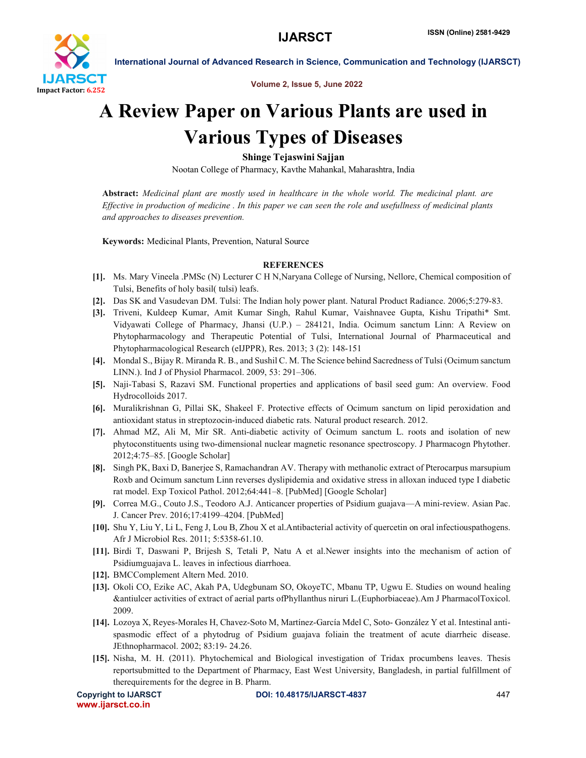

Volume 2, Issue 5, June 2022

International Journal of Advanced Research in Science, Communication and Technology (IJARSCT)

# A Review Paper on Various Plants are used in Various Types of Diseases

Shinge Tejaswini Sajjan

Nootan College of Pharmacy, Kavthe Mahankal, Maharashtra, India

Abstract: *Medicinal plant are mostly used in healthcare in the whole world. The medicinal plant. are Effective in production of medicine . In this paper we can seen the role and usefullness of medicinal plants and approaches to diseases prevention.*

Keywords: Medicinal Plants, Prevention, Natural Source

## **REFERENCES**

- [1]. Ms. Mary Vineela .PMSc (N) Lecturer C H N,Naryana College of Nursing, Nellore, Chemical composition of Tulsi, Benefits of holy basil( tulsi) leafs.
- [2]. Das SK and Vasudevan DM. Tulsi: The Indian holy power plant. Natural Product Radiance. 2006;5:279-83.
- [3]. Triveni, Kuldeep Kumar, Amit Kumar Singh, Rahul Kumar, Vaishnavee Gupta, Kishu Tripathi\* Smt. Vidyawati College of Pharmacy, Jhansi (U.P.) – 284121, India. Ocimum sanctum Linn: A Review on Phytopharmacology and Therapeutic Potential of Tulsi, International Journal of Pharmaceutical and Phytopharmacological Research (eIJPPR), Res. 2013; 3 (2): 148-151
- [4]. Mondal S., Bijay R. Miranda R. B., and Sushil C. M. The Science behind Sacredness of Tulsi (Ocimum sanctum LINN.). Ind J of Physiol Pharmacol. 2009, 53: 291–306.
- [5]. Naji-Tabasi S, Razavi SM. Functional properties and applications of basil seed gum: An overview. Food Hydrocolloids 2017.
- [6]. Muralikrishnan G, Pillai SK, Shakeel F. Protective effects of Ocimum sanctum on lipid peroxidation and antioxidant status in streptozocin-induced diabetic rats. Natural product research. 2012.
- [7]. Ahmad MZ, Ali M, Mir SR. Anti-diabetic activity of Ocimum sanctum L. roots and isolation of new phytoconstituents using two-dimensional nuclear magnetic resonance spectroscopy. J Pharmacogn Phytother. 2012;4:75–85. [Google Scholar]
- [8]. Singh PK, Baxi D, Banerjee S, Ramachandran AV. Therapy with methanolic extract of Pterocarpus marsupium Roxb and Ocimum sanctum Linn reverses dyslipidemia and oxidative stress in alloxan induced type I diabetic rat model. Exp Toxicol Pathol. 2012;64:441–8. [PubMed] [Google Scholar]
- [9]. Correa M.G., Couto J.S., Teodoro A.J. Anticancer properties of Psidium guajava—A mini-review. Asian Pac. J. Cancer Prev. 2016;17:4199–4204. [PubMed]
- [10]. Shu Y, Liu Y, Li L, Feng J, Lou B, Zhou X et al.Antibacterial activity of quercetin on oral infectiouspathogens. Afr J Microbiol Res. 2011; 5:5358-61.10.
- [11]. Birdi T, Daswani P, Brijesh S, Tetali P, Natu A et al.Newer insights into the mechanism of action of Psidiumguajava L. leaves in infectious diarrhoea.
- [12]. BMCComplement Altern Med. 2010.
- [13]. Okoli CO, Ezike AC, Akah PA, Udegbunam SO, OkoyeTC, Mbanu TP, Ugwu E. Studies on wound healing &antiulcer activities of extract of aerial parts ofPhyllanthus niruri L.(Euphorbiaceae).Am J PharmacolToxicol. 2009.
- [14]. Lozoya X, Reyes-Morales H, Chavez-Soto M, Martínez-García Mdel C, Soto- González Y et al. Intestinal antispasmodic effect of a phytodrug of Psidium guajava foliain the treatment of acute diarrheic disease. JEthnopharmacol. 2002; 83:19- 24.26.
- [15]. Nisha, M. H. (2011). Phytochemical and Biological investigation of Tridax procumbens leaves. Thesis reportsubmitted to the Department of Pharmacy, East West University, Bangladesh, in partial fulfillment of therequirements for the degree in B. Pharm.

```
www.ijarsct.co.in
```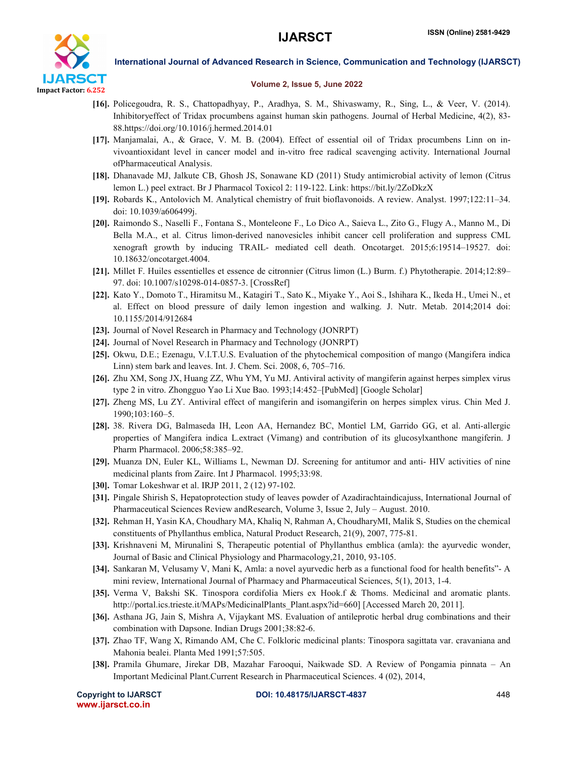

International Journal of Advanced Research in Science, Communication and Technology (IJARSCT)

### Volume 2, Issue 5, June 2022

- [16]. Policegoudra, R. S., Chattopadhyay, P., Aradhya, S. M., Shivaswamy, R., Sing, L., & Veer, V. (2014). Inhibitoryeffect of Tridax procumbens against human skin pathogens. Journal of Herbal Medicine, 4(2), 83- 88.https://doi.org/10.1016/j.hermed.2014.01
- [17]. Manjamalai, A., & Grace, V. M. B. (2004). Effect of essential oil of Tridax procumbens Linn on invivoantioxidant level in cancer model and in-vitro free radical scavenging activity. International Journal ofPharmaceutical Analysis.
- [18]. Dhanavade MJ, Jalkute CB, Ghosh JS, Sonawane KD (2011) Study antimicrobial activity of lemon (Citrus lemon L.) peel extract. Br J Pharmacol Toxicol 2: 119-122. Link: https://bit.ly/2ZoDkzX
- [19]. Robards K., Antolovich M. Analytical chemistry of fruit bioflavonoids. A review. Analyst. 1997;122:11–34. doi: 10.1039/a606499j.
- [20]. Raimondo S., Naselli F., Fontana S., Monteleone F., Lo Dico A., Saieva L., Zito G., Flugy A., Manno M., Di Bella M.A., et al. Citrus limon-derived nanovesicles inhibit cancer cell proliferation and suppress CML xenograft growth by inducing TRAIL- mediated cell death. Oncotarget. 2015;6:19514–19527. doi: 10.18632/oncotarget.4004.
- [21]. Millet F. Huiles essentielles et essence de citronnier (Citrus limon (L.) Burm. f.) Phytotherapie. 2014;12:89– 97. doi: 10.1007/s10298-014-0857-3. [CrossRef]
- [22]. Kato Y., Domoto T., Hiramitsu M., Katagiri T., Sato K., Miyake Y., Aoi S., Ishihara K., Ikeda H., Umei N., et al. Effect on blood pressure of daily lemon ingestion and walking. J. Nutr. Metab. 2014;2014 doi: 10.1155/2014/912684
- [23]. Journal of Novel Research in Pharmacy and Technology (JONRPT)
- [24]. Journal of Novel Research in Pharmacy and Technology (JONRPT)
- [25]. Okwu, D.E.; Ezenagu, V.I.T.U.S. Evaluation of the phytochemical composition of mango (Mangifera indica Linn) stem bark and leaves. Int. J. Chem. Sci. 2008, 6, 705–716.
- [26]. Zhu XM, Song JX, Huang ZZ, Whu YM, Yu MJ. Antiviral activity of mangiferin against herpes simplex virus type 2 in vitro. Zhongguo Yao Li Xue Bao. 1993;14:452–[PubMed] [Google Scholar]
- [27]. Zheng MS, Lu ZY. Antiviral effect of mangiferin and isomangiferin on herpes simplex virus. Chin Med J. 1990;103:160–5.
- [28]. 38. Rivera DG, Balmaseda IH, Leon AA, Hernandez BC, Montiel LM, Garrido GG, et al. Anti-allergic properties of Mangifera indica L.extract (Vimang) and contribution of its glucosylxanthone mangiferin. J Pharm Pharmacol. 2006;58:385–92.
- [29]. Muanza DN, Euler KL, Williams L, Newman DJ. Screening for antitumor and anti- HIV activities of nine medicinal plants from Zaire. Int J Pharmacol. 1995;33:98.
- [30]. Tomar Lokeshwar et al. IRJP 2011, 2 (12) 97-102.
- [31]. Pingale Shirish S, Hepatoprotection study of leaves powder of Azadirachtaindicajuss, International Journal of Pharmaceutical Sciences Review andResearch, Volume 3, Issue 2, July – August. 2010.
- [32]. Rehman H, Yasin KA, Choudhary MA, Khaliq N, Rahman A, ChoudharyMI, Malik S, Studies on the chemical constituents of Phyllanthus emblica, Natural Product Research, 21(9), 2007, 775-81.
- [33]. Krishnaveni M, Mirunalini S, Therapeutic potential of Phyllanthus emblica (amla): the ayurvedic wonder, Journal of Basic and Clinical Physiology and Pharmacology,21, 2010, 93-105.
- [34]. Sankaran M, Velusamy V, Mani K, Amla: a novel ayurvedic herb as a functional food for health benefits"- A mini review, International Journal of Pharmacy and Pharmaceutical Sciences, 5(1), 2013, 1-4.
- [35]. Verma V, Bakshi SK. Tinospora cordifolia Miers ex Hook.f & Thoms. Medicinal and aromatic plants. http://portal.ics.trieste.it/MAPs/MedicinalPlants\_Plant.aspx?id=660] [Accessed March 20, 2011].
- [36]. Asthana JG, Jain S, Mishra A, Vijaykant MS. Evaluation of antileprotic herbal drug combinations and their combination with Dapsone. Indian Drugs 2001;38:82-6.
- [37]. Zhao TF, Wang X, Rimando AM, Che C. Folkloric medicinal plants: Tinospora sagittata var. cravaniana and Mahonia bealei. Planta Med 1991;57:505.
- [38]. Pramila Ghumare, Jirekar DB, Mazahar Farooqui, Naikwade SD. A Review of Pongamia pinnata An Important Medicinal Plant.Current Research in Pharmaceutical Sciences. 4 (02), 2014,